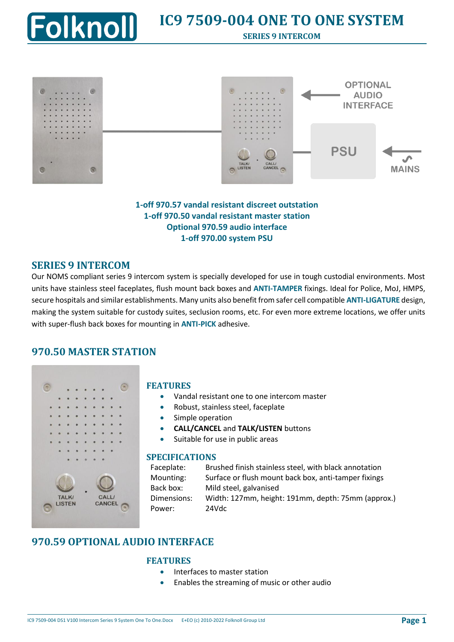



**1-off 970.57 vandal resistant discreet outstation 1-off 970.50 vandal resistant master station Optional 970.59 audio interface 1-off 970.00 system PSU**

## **SERIES 9 INTERCOM**

Our NOMS compliant series 9 intercom system is specially developed for use in tough custodial environments. Most units have stainless steel faceplates, flush mount back boxes and **ANTI-TAMPER** fixings. Ideal for Police, MoJ, HMPS, secure hospitals and similar establishments. Many units also benefit from safer cell compatible **ANTI-LIGATURE** design, making the system suitable for custody suites, seclusion rooms, etc. For even more extreme locations, we offer units with super-flush back boxes for mounting in **ANTI-PICK** adhesive.

### **970.50 MASTER STATION**



### **FEATURES**

- Vandal resistant one to one intercom master
- Robust, stainless steel, faceplate
- Simple operation
- **CALL/CANCEL** and **TALK/LISTEN** buttons
- Suitable for use in public areas

### **SPECIFICATIONS**

| Faceplate:  | Brushed finish stainless steel, with black annotation |
|-------------|-------------------------------------------------------|
| Mounting:   | Surface or flush mount back box, anti-tamper fixings  |
| Back box:   | Mild steel, galvanised                                |
| Dimensions: | Width: 127mm, height: 191mm, depth: 75mm (approx.)    |
| Power:      | 24Vdc                                                 |

# **970.59 OPTIONAL AUDIO INTERFACE**

#### **FEATURES**

- Interfaces to master station
	- Enables the streaming of music or other audio